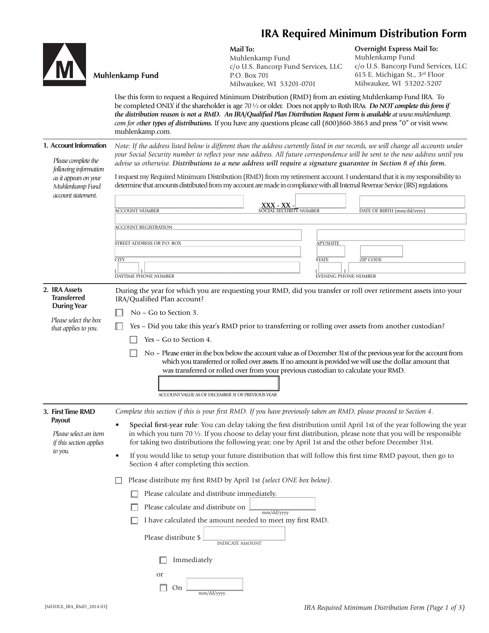## **IRA Required Minimum Distribution Form**



 *as it appears on your Muhlenkamp Fund* 

## **Mail To:**

Muhlenkamp Fund c/o U.S. Bancorp Fund Services, LLC P.O. Box 701 Milwaukee, WI 53201-0701

**Overnight Express Mail To:** Muhlenkamp Fund c/o U.S. Bancorp Fund Services, LLC 615 E. Michigan St., 3rd Floor Milwaukee, WI 53202-5207

Use this form to request a Required Minimum Distribution (RMD) from an existing Muhlenkamp Fund IRA. To be completed ONLY if the shareholder is age 70 ½ or older. Does not apply to Roth IRAs. *Do NOT complete this form if the distribution reason is not a RMD. An IRA/Qualified Plan Distribution Request Form is available at www.muhlenkamp. com for other types of distributions.* If you have any questions please call (800)860-3863 and press "0" or visit www. muhlenkamp.com.

| 1. Account Information | Note: If the address listed below is different than the address currently listed in our records, we will change all accounts under |
|------------------------|------------------------------------------------------------------------------------------------------------------------------------|
| Please complete the    | your Social Security number to reflect your new address. All future correspondence will be sent to the new address until you       |
| following information  | advise us otherwise. Distributions to a new address will require a signature guarantee in Section 8 of this form.                  |

I request my Required Minimum Distribution (RMD) from my retirement account. I understand that it is my responsibility to determine that amounts distributed from my account are made in compliance with all Internal Revenue Service (IRS) regulations.

| account statement. | <b>ACCOUNT NUMBER</b>                                     | XXX - XX -<br><b>SOCIAL SECURITY NUMBER</b> | DATE OF BIRTH (mm/dd/vvvv) |
|--------------------|-----------------------------------------------------------|---------------------------------------------|----------------------------|
|                    | <b>ACCOUNT REGISTRATION</b><br>STREET ADDRESS OR P.O. BOX | <b>APT/SUITE</b>                            |                            |
|                    | <b>CITY</b><br>DAYTIME PHONE NUMBER                       | <b>STATE</b><br><b>EVENING PHONE NUMBER</b> | <b>ZIP CODE</b>            |

| 2. IRA Assets<br><b>Transferred</b><br><b>During Year</b> | During the year for which you are requesting your RMD, did you transfer or roll over retirement assets into your<br>IRA/Qualified Plan account?                                                                                                                                                                                                                            |  |  |  |  |
|-----------------------------------------------------------|----------------------------------------------------------------------------------------------------------------------------------------------------------------------------------------------------------------------------------------------------------------------------------------------------------------------------------------------------------------------------|--|--|--|--|
| Please select the box<br>that applies to you.             | No – Go to Section 3.<br>Yes – Did you take this year's RMD prior to transferring or rolling over assets from another custodian?<br>Yes – Go to Section 4.                                                                                                                                                                                                                 |  |  |  |  |
|                                                           | No – Please enter in the box below the account value as of December 31st of the previous year for the account from<br>which you transferred or rolled over assets. If no amount is provided we will use the dollar amount that<br>was transferred or rolled over from your previous custodian to calculate your RMD.<br>ACCOUNT VALUE AS OF DECEMBER 31 OF PREVIOUS YEAR   |  |  |  |  |
| 3. First Time RMD<br>Payout<br>Please select an item      | Complete this section if this is your first RMD. If you have previously taken an RMD, please proceed to Section 4.<br>Special first-year rule: You can delay taking the first distribution until April 1st of the year following the year<br>in which you turn 70 $\frac{1}{2}$ . If you choose to delay your first distribution, please note that you will be responsible |  |  |  |  |

 for taking two distributions the following year; one by April 1st and the other before December 31st. • If you would like to setup your future distribution that will follow this first time RMD payout, then go to Section 4 after completing this section.

Please distribute my first RMD by April 1st *(select ONE box below)*.

- $\Box$  Please calculate and distribute immediately.
- $\Box$  Please calculate and distribute on mm/dd/yyyy
- $\Box$  I have calculated the amount needed to meet my first RMD.

| Please distribute \$ |                        |
|----------------------|------------------------|
|                      | <b>INDICATE AMOUNT</b> |

|    | $\Box$ Immediately |
|----|--------------------|
| Ωr |                    |

| mm/dd/yyyy |
|------------|

 *if this section applies* 

 *to you.*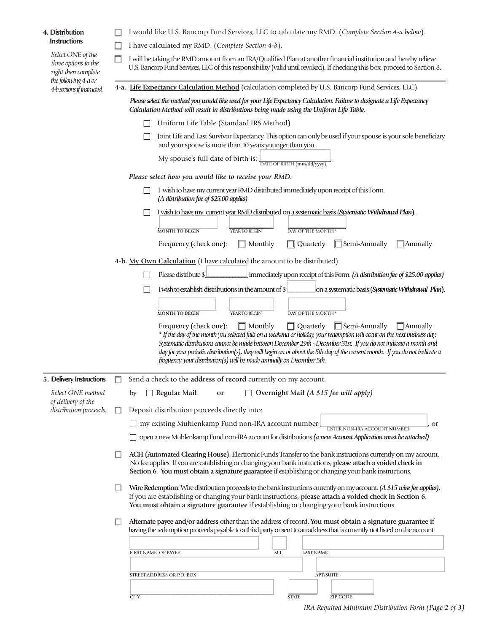## **4. Distribution Instructions**

 *Select ONE of the three options to the right then complete the following 4-a or 4-b sections if instructed.* 

| □ I would like U.S. Bancorp Fund Services, LLC to calculate my RMD. (Complete Section 4-a below). |  |  |  |  |
|---------------------------------------------------------------------------------------------------|--|--|--|--|
|                                                                                                   |  |  |  |  |

I have calculated my RMD. (*Complete Section 4-b*).

 $\Box$  I will be taking the RMD amount from an IRA/Qualified Plan at another financial institution and hereby relieve U.S. Bancorp Fund Services, LLC of this responsibility (valid until revoked). If checking this box, proceed to Section 8.

**4-a. Life Expectancy Calculation Method** (calculation completed by U.S. Bancorp Fund Services, LLC)

 *Please select the method you would like used for your Life Expectancy Calculation. Failure to designate a Life Expectancy Calculation Method will result in distributions being made using the Uniform Life Table.*

- Uniform Life Table (Standard IRS Method)
- Joint Life and Last Survivor Expectancy. This option can only be used if your spouse is your sole benefi ciary and your spouse is more than 10 years younger than you.

| My spouse's full date of birth is: |                            |
|------------------------------------|----------------------------|
|                                    | DATE OF BIRTH (mm/dd/yyyy) |

*Please select how you would like to receive your RMD.*

- I wish to have my current year RMD distributed immediately upon receipt of this Form. *(A distribution fee of \$25.00 applies)*
- I wish to have my current year RMD distributed on a systematic basis (*Systematic Withdrawal Plan***)**.

| <b>MONTH TO BEGIN</b>                                                                       | YEAR TO BEGIN | DAY OF THE MONTH* |  |
|---------------------------------------------------------------------------------------------|---------------|-------------------|--|
| Frequency (check one): $\Box$ Monthly $\Box$ Quarterly $\Box$ Semi-Annually $\Box$ Annually |               |                   |  |

**4-b. My Own Calculation** (I have calculated the amount to be distributed)

| Please distribute $\frac{1}{2}$ | $\perp$ immediately upon receipt of this Form. (A distribution fee of \$25.00 applies) |  |  |  |
|---------------------------------|----------------------------------------------------------------------------------------|--|--|--|
|                                 |                                                                                        |  |  |  |

I wish to establish distributions in the amount of \$ \_\_\_\_\_\_\_\_\_ on a systematic basis (*Systematic Withdrawal Plan***)**.

| <b>MONTH TO BEGIN</b> | YEAR TO BEGIN                                                                                                                                                                                                                                                                                                                                                                                                                                                                                                                                             | DAY OF THE MONTH* |  |
|-----------------------|-----------------------------------------------------------------------------------------------------------------------------------------------------------------------------------------------------------------------------------------------------------------------------------------------------------------------------------------------------------------------------------------------------------------------------------------------------------------------------------------------------------------------------------------------------------|-------------------|--|
|                       | Frequency (check one): $\Box$ Monthly $\Box$ Quarterly $\Box$ Semi-Annually $\Box$ Annually<br>* If the day of the month you selected falls on a weekend or holiday, your redemption will occur on the next business day.<br>Systematic distributions cannot be made between December 29th - December 31st. If you do not indicate a month and<br>day for your periodic distribution(s), they will begin on or about the 5th day of the current month. If you do not indicate a<br>frequency, your distribution(s) will be made annually on December 5th. |                   |  |

| 5. Delivery Instructions                | Send a check to the address of record currently on my account.                                                                                                                                                                                                                                                                     |
|-----------------------------------------|------------------------------------------------------------------------------------------------------------------------------------------------------------------------------------------------------------------------------------------------------------------------------------------------------------------------------------|
| Select ONE method<br>of delivery of the | Overnight Mail (A \$15 fee will apply)<br>Regular Mail<br>by<br>or                                                                                                                                                                                                                                                                 |
| distribution proceeds.                  | Deposit distribution proceeds directly into:                                                                                                                                                                                                                                                                                       |
|                                         | my existing Muhlenkamp Fund non-IRA account number<br><sub>or</sub><br><b>ENTER NON-IRA ACCOUNT NUMBER</b>                                                                                                                                                                                                                         |
|                                         | open a new Muhlenkamp Fund non-IRA account for distributions (a new Account Application must be attached).                                                                                                                                                                                                                         |
|                                         | ACH (Automated Clearing House): Electronic Funds Transfer to the bank instructions currently on my account.<br>No fee applies. If you are establishing or changing your bank instructions, please attach a voided check in<br>Section 6. You must obtain a signature guarantee if establishing or changing your bank instructions. |
|                                         | Wire Redemption: Wire distribution proceeds to the bank instructions currently on my account. (A \$15 wire fee applies).<br>If you are establishing or changing your bank instructions, please attach a voided check in Section 6.<br>You must obtain a signature guarantee if establishing or changing your bank instructions.    |
|                                         | Alternate payee and/or address other than the address of record. You must obtain a signature guarantee if                                                                                                                                                                                                                          |
|                                         | having the redemption proceeds payable to a third party or sent to an address that is currently not listed on the account.                                                                                                                                                                                                         |
|                                         |                                                                                                                                                                                                                                                                                                                                    |
|                                         | FIRST NAME OF PAYEE<br><b>LAST NAME</b><br>M.I.                                                                                                                                                                                                                                                                                    |
|                                         |                                                                                                                                                                                                                                                                                                                                    |
|                                         | <b>APT/SUITE</b><br>STREET ADDRESS OR P.O. BOX                                                                                                                                                                                                                                                                                     |
|                                         |                                                                                                                                                                                                                                                                                                                                    |
|                                         | <b>ZIP CODE</b><br><b>CITY</b><br><b>STATE</b>                                                                                                                                                                                                                                                                                     |